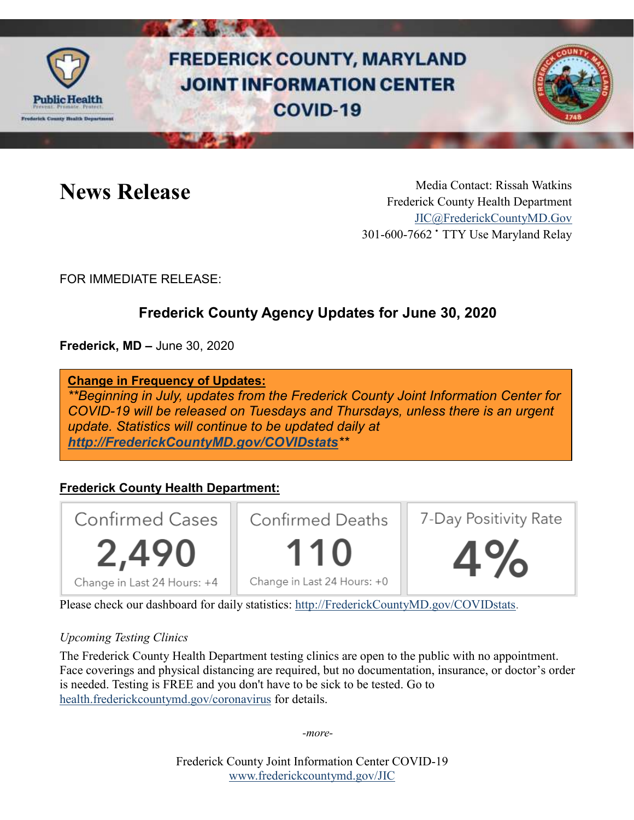

# **FREDERICK COUNTY, MARYLAND JOINT INFORMATION CENTER** COVID-19



News Release Media Contact: Rissah Watkins Frederick County Health Department [JIC@FrederickCountyMD.Gov](mailto:JIC@FrederickCountyMD.Gov) 301-600-7662 • TTY Use Maryland Relay

FOR IMMEDIATE RELEASE:

# **Frederick County Agency Updates for June 30, 2020**

**Frederick, MD –** June 30, 2020

**Change in Frequency of Updates:**

*\*\*Beginning in July, updates from the Frederick County Joint Information Center for COVID-19 will be released on Tuesdays and Thursdays, unless there is an urgent update. Statistics will continue to be updated daily at [http://FrederickCountyMD.gov/COVIDstats](http://frederickcountymd.gov/COVIDstats)\*\**

# **Frederick County Health Department:**



Please check our dashboard for daily statistics: [http://FrederickCountyMD.gov/COVIDstats.](http://frederickcountymd.gov/COVIDstats)

### *Upcoming Testing Clinics*

The Frederick County Health Department testing clinics are open to the public with no appointment. Face coverings and physical distancing are required, but no documentation, insurance, or doctor's order is needed. Testing is FREE and you don't have to be sick to be tested. Go to [health.frederickcountymd.gov/coronavirus](https://health.frederickcountymd.gov/614/Novel-Coronavirus-COVID-19) for details.

*-more-*

Frederick County Joint Information Center COVID-19 [www.frederickcountymd.gov/JIC](https://frederickcountymd.gov/JIC)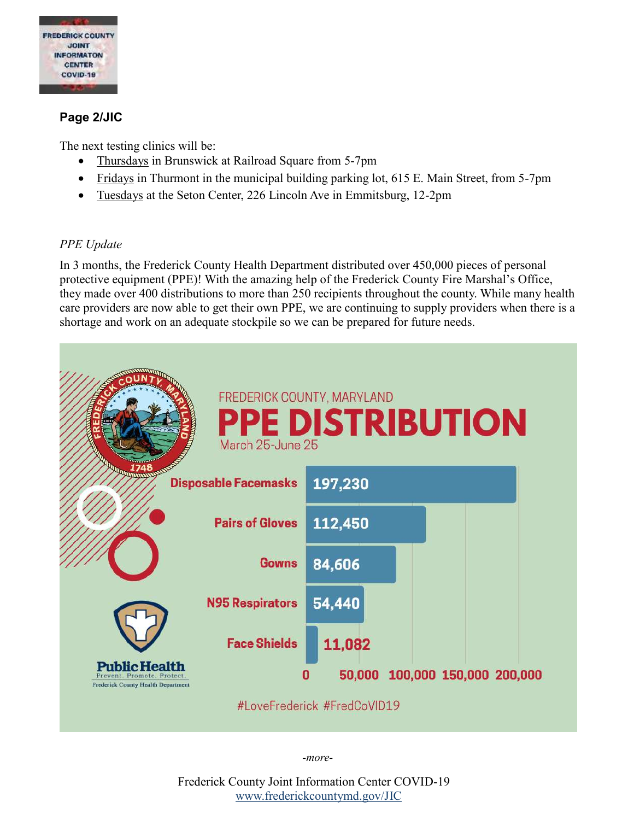

#### **Page 2/JIC**

The next testing clinics will be:

- Thursdays in Brunswick at Railroad Square from 5-7pm
- Fridays in Thurmont in the municipal building parking lot, 615 E. Main Street, from 5-7pm
- Tuesdays at the Seton Center, 226 Lincoln Ave in Emmitsburg, 12-2pm

#### *PPE Update*

In 3 months, the Frederick County Health Department distributed over 450,000 pieces of personal protective equipment (PPE)! With the amazing help of the Frederick County Fire Marshal's Office, they made over 400 distributions to more than 250 recipients throughout the county. While many health care providers are now able to get their own PPE, we are continuing to supply providers when there is a shortage and work on an adequate stockpile so we can be prepared for future needs.



*-more-*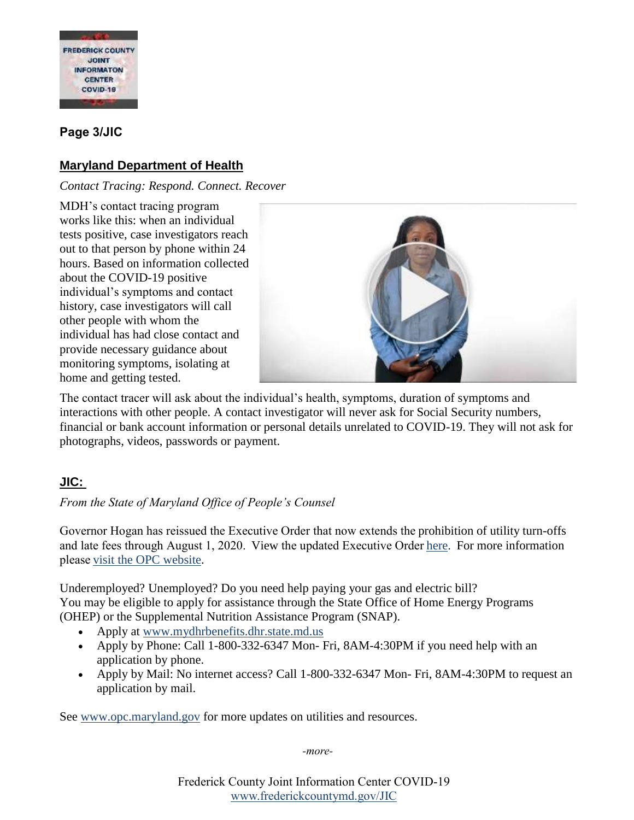

### **Page 3/JIC**

## **Maryland Department of Health**

*Contact Tracing: Respond. Connect. Recover*

MDH's contact tracing program works like this: when an individual tests positive, case investigators reach out to that person by phone within 24 hours. Based on information collected about the COVID-19 positive individual's symptoms and contact history, case investigators will call other people with whom the individual has had close contact and provide necessary guidance about monitoring symptoms, isolating at home and getting tested.



The contact tracer will ask about the individual's health, symptoms, duration of symptoms and interactions with other people. A contact investigator will never ask for Social Security numbers, financial or bank account information or personal details unrelated to COVID-19. They will not ask for photographs, videos, passwords or payment.

### **JIC:**

*From the State of Maryland Office of People's Counsel*

Governor Hogan has reissued the Executive Order that now extends the prohibition of utility turn-offs and late fees through August 1, 2020.  View the updated Executive Order[here.](https://governor.maryland.gov/wp-content/uploads/2020/06/Utility-Shutoffs-and-Late-Fees-3d-Amended-6.29.20.pdf)  For more information please visit [the OPC](http://www.opc.maryland.gov/) website.

Underemployed? Unemployed? Do you need help paying your gas and electric bill? You may be eligible to apply for assistance through the State Office of Home Energy Programs (OHEP) or the Supplemental Nutrition Assistance Program (SNAP).

- Apply at [www.mydhrbenefits.dhr.state.md.us](http://www.mydhrbenefits.dhr.state.md.us/)
- Apply by Phone: Call 1-800-332-6347 Mon- Fri, 8AM-4:30PM if you need help with an application by phone.
- Apply by Mail: No internet access? Call 1-800-332-6347 Mon- Fri, 8AM-4:30PM to request an application by mail.

See [www.opc.maryland.gov](http://www.opc.maryland.gov/) for more updates on utilities and resources.

*-more-*